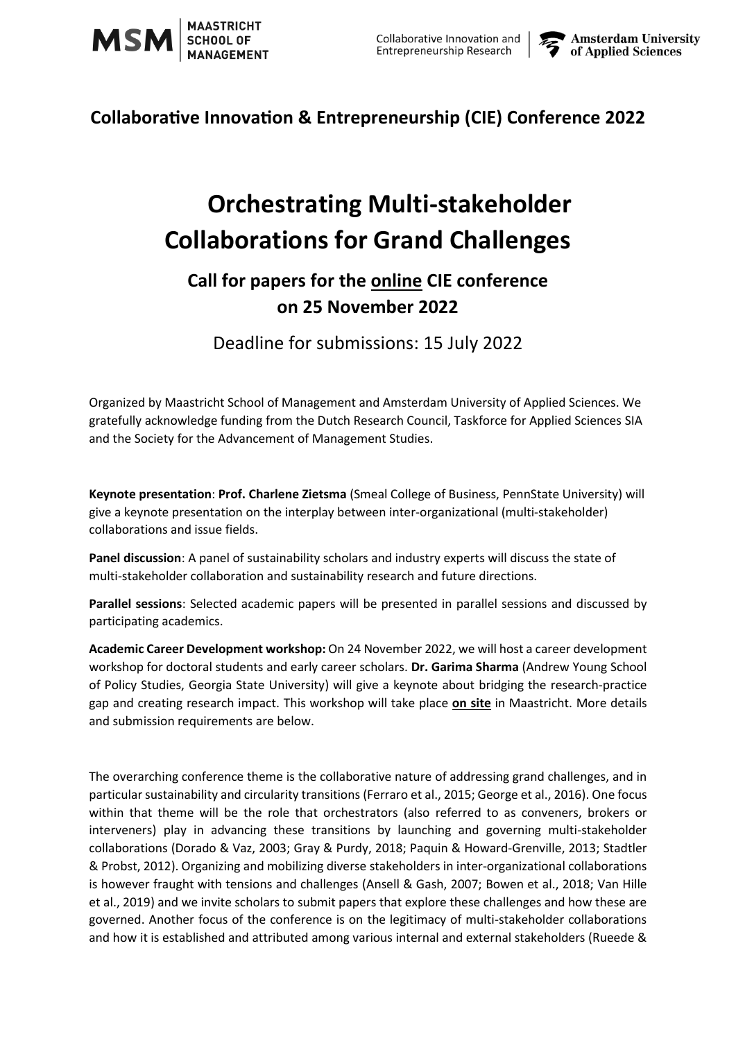

### **Collaborative Innovation & Entrepreneurship (CIE) Conference 2022**

# **Orchestrating Multi-stakeholder Collaborations for Grand Challenges**

## **Call for papers for the online CIE conference on 25 November 2022**

Deadline for submissions: 15 July 2022

Organized by Maastricht School of Management and Amsterdam University of Applied Sciences. We gratefully acknowledge funding from the Dutch Research Council, Taskforce for Applied Sciences SIA and the Society for the Advancement of Management Studies.

**Keynote presentation**: **Prof. Charlene Zietsma** (Smeal College of Business, PennState University) will give a keynote presentation on the interplay between inter-organizational (multi-stakeholder) collaborations and issue fields.

**Panel discussion**: A panel of sustainability scholars and industry experts will discuss the state of multi-stakeholder collaboration and sustainability research and future directions.

**Parallel sessions**: Selected academic papers will be presented in parallel sessions and discussed by participating academics.

**Academic Career Development workshop:** On 24 November 2022, we will host a career development workshop for doctoral students and early career scholars. **Dr. Garima Sharma** (Andrew Young School of Policy Studies, Georgia State University) will give a keynote about bridging the research-practice gap and creating research impact. This workshop will take place **on site** in Maastricht. More details and submission requirements are below.

The overarching conference theme is the collaborative nature of addressing grand challenges, and in particular sustainability and circularity transitions (Ferraro et al., 2015; George et al., 2016). One focus within that theme will be the role that orchestrators (also referred to as conveners, brokers or interveners) play in advancing these transitions by launching and governing multi-stakeholder collaborations (Dorado & Vaz, 2003; Gray & Purdy, 2018; Paquin & Howard-Grenville, 2013; Stadtler & Probst, 2012). Organizing and mobilizing diverse stakeholders in inter-organizational collaborations is however fraught with tensions and challenges (Ansell & Gash, 2007; Bowen et al., 2018; Van Hille et al., 2019) and we invite scholars to submit papers that explore these challenges and how these are governed. Another focus of the conference is on the legitimacy of multi-stakeholder collaborations and how it is established and attributed among various internal and external stakeholders (Rueede &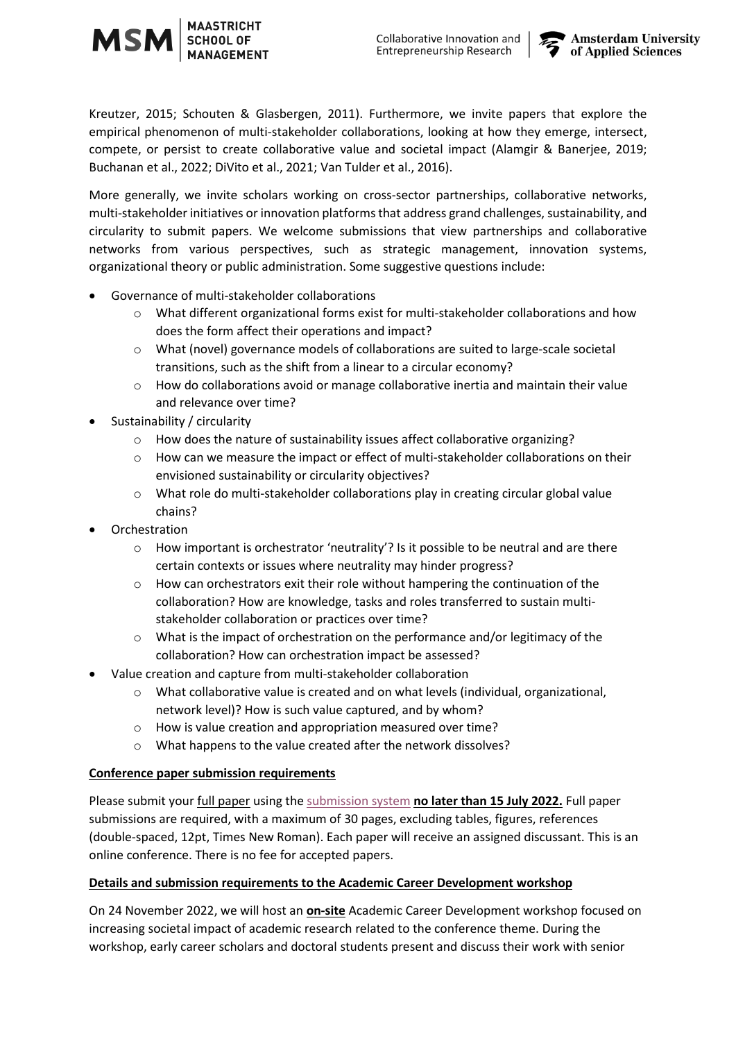Kreutzer, 2015; Schouten & Glasbergen, 2011). Furthermore, we invite papers that explore the empirical phenomenon of multi-stakeholder collaborations, looking at how they emerge, intersect, compete, or persist to create collaborative value and societal impact (Alamgir & Banerjee, 2019; Buchanan et al., 2022; DiVito et al., 2021; Van Tulder et al., 2016).

More generally, we invite scholars working on cross-sector partnerships, collaborative networks, multi-stakeholder initiatives or innovation platforms that address grand challenges, sustainability, and circularity to submit papers. We welcome submissions that view partnerships and collaborative networks from various perspectives, such as strategic management, innovation systems, organizational theory or public administration. Some suggestive questions include:

- Governance of multi-stakeholder collaborations
	- o What different organizational forms exist for multi-stakeholder collaborations and how does the form affect their operations and impact?
	- o What (novel) governance models of collaborations are suited to large-scale societal transitions, such as the shift from a linear to a circular economy?
	- $\circ$  How do collaborations avoid or manage collaborative inertia and maintain their value and relevance over time?
- Sustainability / circularity
	- o How does the nature of sustainability issues affect collaborative organizing?
	- o How can we measure the impact or effect of multi-stakeholder collaborations on their envisioned sustainability or circularity objectives?
	- o What role do multi-stakeholder collaborations play in creating circular global value chains?
- **Orchestration** 
	- $\circ$  How important is orchestrator 'neutrality'? Is it possible to be neutral and are there certain contexts or issues where neutrality may hinder progress?
	- $\circ$  How can orchestrators exit their role without hampering the continuation of the collaboration? How are knowledge, tasks and roles transferred to sustain multistakeholder collaboration or practices over time?
	- $\circ$  What is the impact of orchestration on the performance and/or legitimacy of the collaboration? How can orchestration impact be assessed?
- Value creation and capture from multi-stakeholder collaboration
	- o What collaborative value is created and on what levels (individual, organizational, network level)? How is such value captured, and by whom?
	- o How is value creation and appropriation measured over time?
	- o What happens to the value created after the network dissolves?

#### **Conference paper submission requirements**

Please submit your full paper using the [submission system](https://www.conftool.net/cie2022/) **no later than 15 July 2022.** Full paper submissions are required, with a maximum of 30 pages, excluding tables, figures, references (double-spaced, 12pt, Times New Roman). Each paper will receive an assigned discussant. This is an online conference. There is no fee for accepted papers.

#### **Details and submission requirements to the Academic Career Development workshop**

On 24 November 2022, we will host an **on-site** Academic Career Development workshop focused on increasing societal impact of academic research related to the conference theme. During the workshop, early career scholars and doctoral students present and discuss their work with senior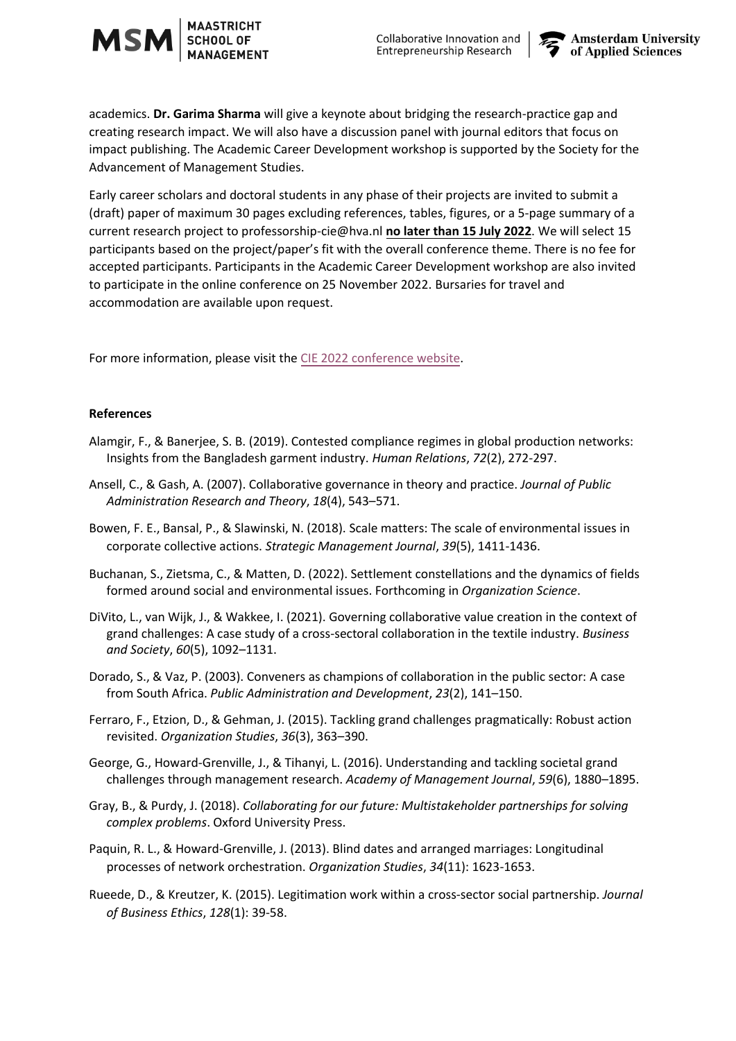

academics. **Dr. Garima Sharma** will give a keynote about bridging the research-practice gap and creating research impact. We will also have a discussion panel with journal editors that focus on impact publishing. The Academic Career Development workshop is supported by the Society for the Advancement of Management Studies.

Early career scholars and doctoral students in any phase of their projects are invited to submit a (draft) paper of maximum 30 pages excluding references, tables, figures, or a 5-page summary of a current research project to professorship-cie@hva.nl **no later than 15 July 2022**. We will select 15 participants based on the project/paper's fit with the overall conference theme. There is no fee for accepted participants. Participants in the Academic Career Development workshop are also invited to participate in the online conference on 25 November 2022. Bursaries for travel and accommodation are available upon request.

For more information, please visit the [CIE 2022 conference website.](https://www.amsterdamuas.com/subsites/en/kc-be-carem/events/events/2022/11/collaborative-innovation-and-entrepreneurship-conference-2022.html?origin=Uz%2B89ySdTLeLEVgKVHLCPQ)

#### **References**

- Alamgir, F., & Banerjee, S. B. (2019). Contested compliance regimes in global production networks: Insights from the Bangladesh garment industry. *Human Relations*, *72*(2), 272-297.
- Ansell, C., & Gash, A. (2007). Collaborative governance in theory and practice. *Journal of Public Administration Research and Theory*, *18*(4), 543–571.
- Bowen, F. E., Bansal, P., & Slawinski, N. (2018). Scale matters: The scale of environmental issues in corporate collective actions. *Strategic Management Journal*, *39*(5), 1411-1436.
- Buchanan, S., Zietsma, C., & Matten, D. (2022). Settlement constellations and the dynamics of fields formed around social and environmental issues. Forthcoming in *Organization Science*.
- DiVito, L., van Wijk, J., & Wakkee, I. (2021). Governing collaborative value creation in the context of grand challenges: A case study of a cross-sectoral collaboration in the textile industry. *Business and Society*, *60*(5), 1092–1131.
- Dorado, S., & Vaz, P. (2003). Conveners as champions of collaboration in the public sector: A case from South Africa. *Public Administration and Development*, *23*(2), 141–150.
- Ferraro, F., Etzion, D., & Gehman, J. (2015). Tackling grand challenges pragmatically: Robust action revisited. *Organization Studies*, *36*(3), 363–390.
- George, G., Howard-Grenville, J., & Tihanyi, L. (2016). Understanding and tackling societal grand challenges through management research. *Academy of Management Journal*, *59*(6), 1880–1895.
- Gray, B., & Purdy, J. (2018). *Collaborating for our future: Multistakeholder partnerships for solving complex problems*. Oxford University Press.
- Paquin, R. L., & Howard-Grenville, J. (2013). Blind dates and arranged marriages: Longitudinal processes of network orchestration. *Organization Studies*, *34*(11): 1623-1653.
- Rueede, D., & Kreutzer, K. (2015). Legitimation work within a cross-sector social partnership. *Journal of Business Ethics*, *128*(1): 39-58.